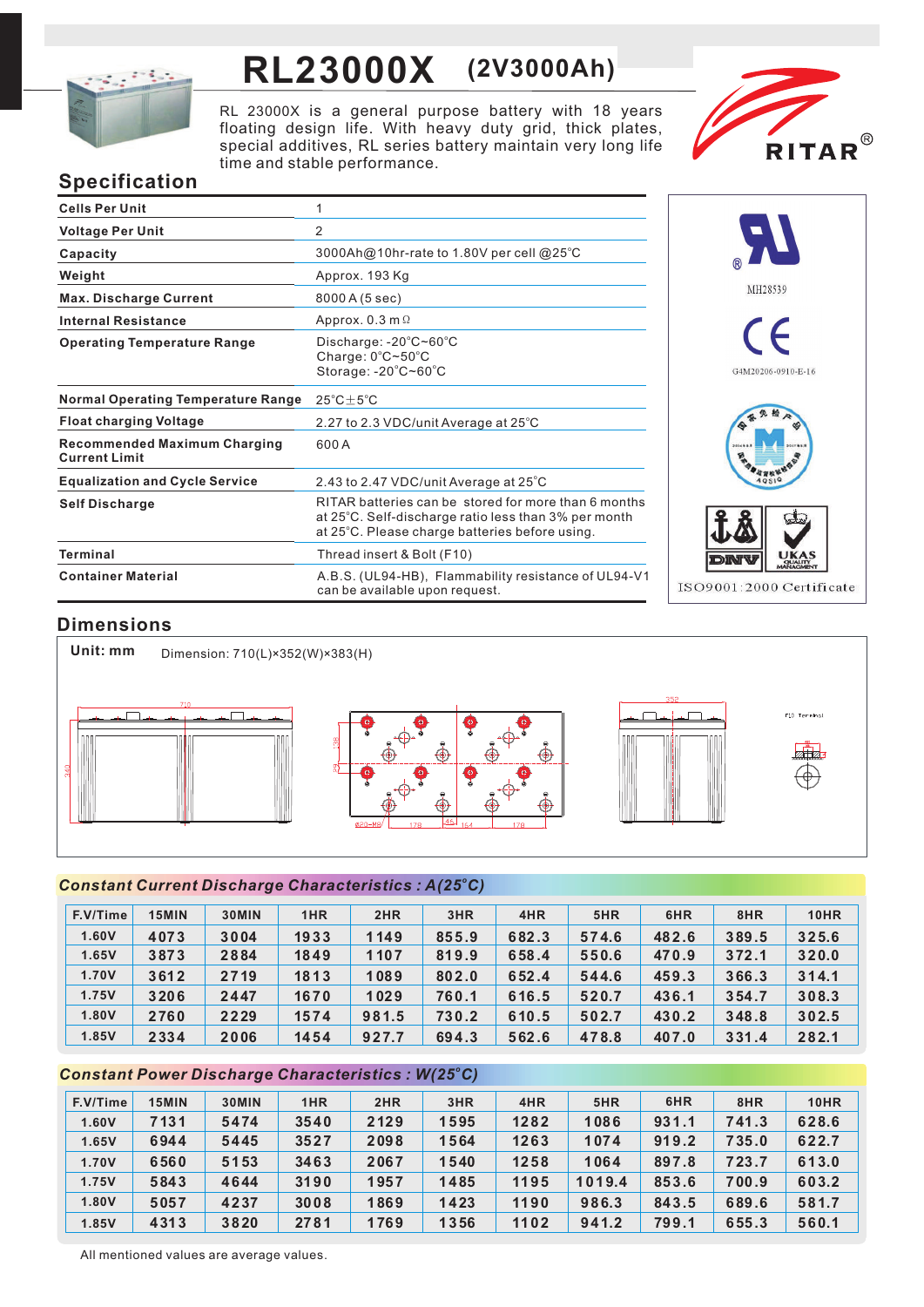

# **RL23000X (2V3000Ah)**

RL 23000X is a general purpose battery with 18 years floating design life. With heavy duty grid, thick plates, special additives, RL series battery maintain very long life time and stable performance.



# **Specification**

| <b>Cells Per Unit</b>                                       | 1                                                                                                                                                              |
|-------------------------------------------------------------|----------------------------------------------------------------------------------------------------------------------------------------------------------------|
| <b>Voltage Per Unit</b>                                     | 2                                                                                                                                                              |
| Capacity                                                    | 3000Ah@10hr-rate to 1.80V per cell @25°C                                                                                                                       |
| Weight                                                      | Approx. 193 Kg                                                                                                                                                 |
| <b>Max. Discharge Current</b>                               | 8000 A (5 sec)                                                                                                                                                 |
| <b>Internal Resistance</b>                                  | Approx. $0.3$ m $\Omega$                                                                                                                                       |
| <b>Operating Temperature Range</b>                          | Discharge: $-20^{\circ}$ C~60 $^{\circ}$ C<br>Charge: $0^{\circ}$ C $\sim$ 50 $^{\circ}$ C<br>Storage: $-20^{\circ}$ C $-60^{\circ}$ C                         |
| <b>Normal Operating Temperature Range</b>                   | $25^{\circ}$ C $\pm$ 5 $^{\circ}$ C                                                                                                                            |
| <b>Float charging Voltage</b>                               | 2.27 to 2.3 VDC/unit Average at 25°C                                                                                                                           |
| <b>Recommended Maximum Charging</b><br><b>Current Limit</b> | 600 A                                                                                                                                                          |
| <b>Equalization and Cycle Service</b>                       | 2.43 to 2.47 VDC/unit Average at 25°C                                                                                                                          |
| <b>Self Discharge</b>                                       | RITAR batteries can be stored for more than 6 months<br>at 25°C. Self-discharge ratio less than 3% per month<br>at 25°C. Please charge batteries before using. |
| <b>Terminal</b>                                             | Thread insert & Bolt (F10)                                                                                                                                     |
| <b>Container Material</b>                                   | A.B.S. (UL94-HB), Flammability resistance of UL94-V1<br>can be available upon request.                                                                         |



# **Dimensions**



# *<sup>o</sup> Constant Current Discharge Characteristics : A(25 C)*

| F.V/Time | <b>15MIN</b> | 30MIN | 1HR  | 2HR   | 3HR   | 4HR   | 5HR   | 6HR   | 8HR   | 10HR  |
|----------|--------------|-------|------|-------|-------|-------|-------|-------|-------|-------|
| 1.60V    | 4073         | 3004  | 1933 | 1149  | 855.9 | 682.3 | 574.6 | 482.6 | 389.5 | 325.6 |
| 1.65V    | 3873         | 2884  | 1849 | 1107  | 819.9 | 658.4 | 550.6 | 470.9 | 372.1 | 320.0 |
| 1.70V    | 3612         | 2719  | 1813 | 1089  | 802.0 | 652.4 | 544.6 | 459.3 | 366.3 | 314.1 |
| 1.75V    | 3206         | 2447  | 1670 | 1029  | 760.1 | 616.5 | 520.7 | 436.1 | 354.7 | 308.3 |
| 1.80V    | 2760         | 2229  | 1574 | 981.5 | 730.2 | 610.5 | 502.7 | 430.2 | 348.8 | 302.5 |
| 1.85V    | 2334         | 2006  | 1454 | 927.7 | 694.3 | 562.6 | 478.8 | 407.0 | 331.4 | 282.1 |

## *<sup>o</sup> Constant Power Discharge Characteristics : W(25 C)*

| F.V/Time | 15MIN | 30MIN | 1HR  | 2HR  | 3HR  | 4HR  | 5HR    | 6HR   | 8HR   | <b>10HR</b> |
|----------|-------|-------|------|------|------|------|--------|-------|-------|-------------|
| 1.60V    | 7131  | 5474  | 3540 | 2129 | 1595 | 1282 | 1086   | 931.1 | 741.3 | 628.6       |
| 1.65V    | 6944  | 5445  | 3527 | 2098 | 1564 | 1263 | 1074   | 919.2 | 735.0 | 622.7       |
| 1.70V    | 6560  | 5153  | 3463 | 2067 | 1540 | 1258 | 1064   | 897.8 | 723.7 | 613.0       |
| 1.75V    | 5843  | 4644  | 3190 | 1957 | 1485 | 1195 | 1019.4 | 853.6 | 700.9 | 603.2       |
| 1.80V    | 5057  | 4237  | 3008 | 1869 | 1423 | 1190 | 986.3  | 843.5 | 689.6 | 581.7       |
| 1.85V    | 4313  | 3820  | 2781 | 1769 | 1356 | 1102 | 941.2  | 799.1 | 655.3 | 560.1       |

All mentioned values are average values.